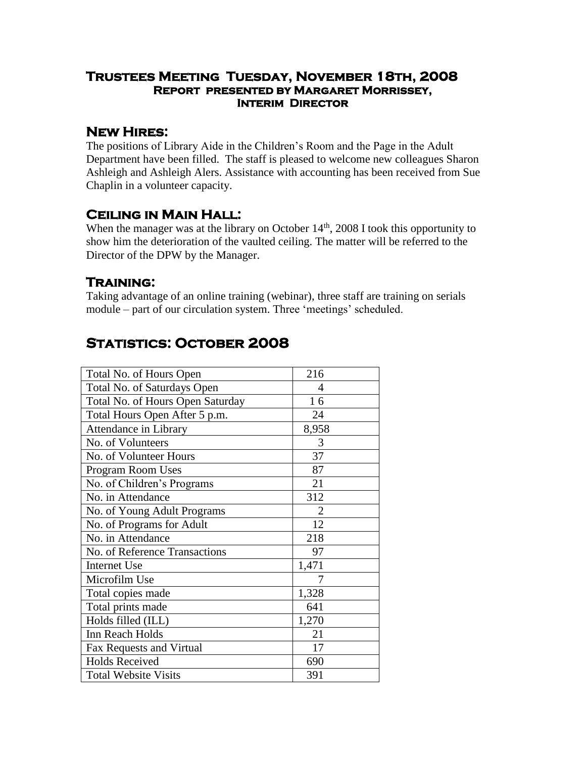#### **Trustees Meeting Tuesday, November 18th, 2008 Report presented by Margaret Morrissey, Interim Director**

### **New Hires:**

The positions of Library Aide in the Children's Room and the Page in the Adult Department have been filled. The staff is pleased to welcome new colleagues Sharon Ashleigh and Ashleigh Alers. Assistance with accounting has been received from Sue Chaplin in a volunteer capacity.

### **Ceiling in Main Hall:**

When the manager was at the library on October  $14<sup>th</sup>$ , 2008 I took this opportunity to show him the deterioration of the vaulted ceiling. The matter will be referred to the Director of the DPW by the Manager.

### **Training:**

Taking advantage of an online training (webinar), three staff are training on serials module – part of our circulation system. Three 'meetings' scheduled.

# **Statistics: October 2008**

| 216            |
|----------------|
| 4              |
| 16             |
| 24             |
| 8,958          |
| 3              |
| 37             |
| 87             |
| 21             |
| 312            |
| $\overline{2}$ |
| 12             |
| 218            |
| 97             |
| 1,471          |
| 7              |
| 1,328          |
| 641            |
| 1,270          |
| 21             |
| 17             |
| 690            |
| 391            |
|                |